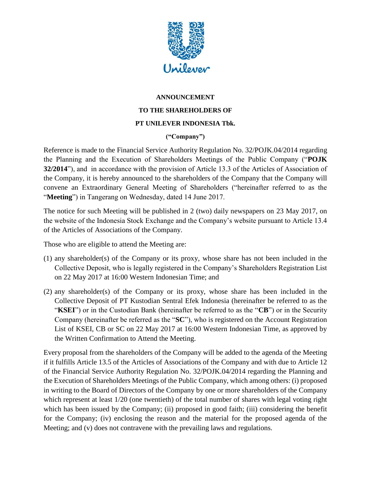

## **ANNOUNCEMENT**

## **TO THE SHAREHOLDERS OF**

## **PT UNILEVER INDONESIA Tbk.**

## **("Company")**

Reference is made to the Financial Service Authority Regulation No. 32/POJK.04/2014 regarding the Planning and the Execution of Shareholders Meetings of the Public Company ("**POJK 32/2014**"), and in accordance with the provision of Article 13.3 of the Articles of Association of the Company, it is hereby announced to the shareholders of the Company that the Company will convene an Extraordinary General Meeting of Shareholders ("hereinafter referred to as the "**Meeting**") in Tangerang on Wednesday, dated 14 June 2017.

The notice for such Meeting will be published in 2 (two) daily newspapers on 23 May 2017, on the website of the Indonesia Stock Exchange and the Company's website pursuant to Article 13.4 of the Articles of Associations of the Company.

Those who are eligible to attend the Meeting are:

- (1) any shareholder(s) of the Company or its proxy, whose share has not been included in the Collective Deposit, who is legally registered in the Company's Shareholders Registration List on 22 May 2017 at 16:00 Western Indonesian Time; and
- (2) any shareholder(s) of the Company or its proxy, whose share has been included in the Collective Deposit of PT Kustodian Sentral Efek Indonesia (hereinafter be referred to as the "**KSEI**") or in the Custodian Bank (hereinafter be referred to as the "**CB**") or in the Security Company (hereinafter be referred as the "**SC**"), who is registered on the Account Registration List of KSEI, CB or SC on 22 May 2017 at 16:00 Western Indonesian Time, as approved by the Written Confirmation to Attend the Meeting.

Every proposal from the shareholders of the Company will be added to the agenda of the Meeting if it fulfills Article 13.5 of the Articles of Associations of the Company and with due to Article 12 of the Financial Service Authority Regulation No. 32/POJK.04/2014 regarding the Planning and the Execution of Shareholders Meetings of the Public Company, which among others: (i) proposed in writing to the Board of Directors of the Company by one or more shareholders of the Company which represent at least 1/20 (one twentieth) of the total number of shares with legal voting right which has been issued by the Company; (ii) proposed in good faith; (iii) considering the benefit for the Company; (iv) enclosing the reason and the material for the proposed agenda of the Meeting; and (v) does not contravene with the prevailing laws and regulations.